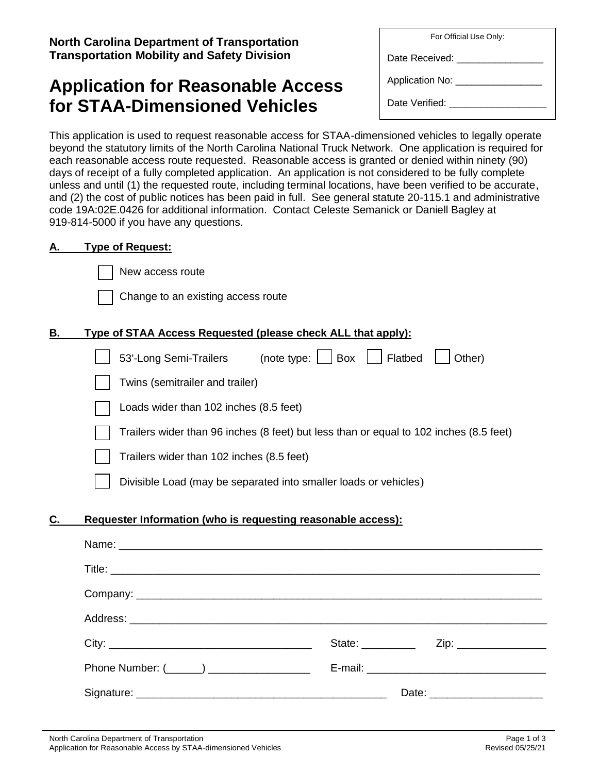**North Carolina Department of Transportation Transportation Mobility and Safety Division**

# **Application for Reasonable Access for STAA-Dimensioned Vehicles**

| For Official Use Only: |
|------------------------|
| Date Received: __      |
| Application No: ___    |
| Date Verified:         |

This application is used to request reasonable access for STAA-dimensioned vehicles to legally operate beyond the statutory limits of the North Carolina National Truck Network. One application is required for each reasonable access route requested. Reasonable access is granted or denied within ninety (90) days of receipt of a fully completed application. An application is not considered to be fully complete unless and until (1) the requested route, including terminal locations, have been verified to be accurate, and (2) the cost of public notices has been paid in full. See general statute 20-115.1 and administrative code 19A:02E.0426 for additional information. Contact Celeste Semanick or Daniell Bagley at 919-814-5000 if you have any questions.

## **A. Type of Request:**

New access route

| Change to an existing access route |  |  |
|------------------------------------|--|--|
|                                    |  |  |

# **B. Type of STAA Access Requested (please check ALL that apply):**

|    | 53'-Long Semi-Trailers<br>Flatbed<br>Box<br>(note type: $ $<br>Other)                  |
|----|----------------------------------------------------------------------------------------|
|    | Twins (semitrailer and trailer)                                                        |
|    | Loads wider than 102 inches (8.5 feet)                                                 |
|    | Trailers wider than 96 inches (8 feet) but less than or equal to 102 inches (8.5 feet) |
|    | Trailers wider than 102 inches (8.5 feet)                                              |
|    | Divisible Load (may be separated into smaller loads or vehicles)                       |
| С. | Requester Information (who is requesting reasonable access):                           |
|    | Name:                                                                                  |

|                                           | State: __________ | Zip: _______________           |
|-------------------------------------------|-------------------|--------------------------------|
| Phone Number: (______) __________________ |                   |                                |
|                                           |                   | Date: ________________________ |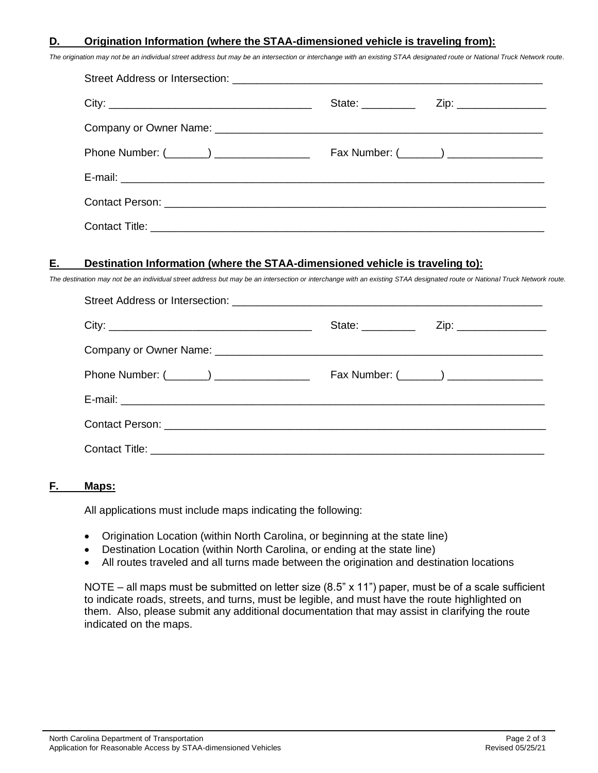#### **D. Origination Information (where the STAA-dimensioned vehicle is traveling from):**

*The origination may not be an individual street address but may be an intersection or interchange with an existing STAA designated route or National Truck Network route.*

| Phone Number: (_______) ________________ |  | Fax Number: (_______) _________________ |  |  |
|------------------------------------------|--|-----------------------------------------|--|--|
|                                          |  |                                         |  |  |
|                                          |  |                                         |  |  |
|                                          |  |                                         |  |  |

#### **E. Destination Information (where the STAA-dimensioned vehicle is traveling to):**

*The destination may not be an individual street address but may be an intersection or interchange with an existing STAA designated route or National Truck Network route.*

| Phone Number: (_______) ________________ |  | Fax Number: (_______) _________________ |  |  |
|------------------------------------------|--|-----------------------------------------|--|--|
|                                          |  |                                         |  |  |
|                                          |  |                                         |  |  |
|                                          |  |                                         |  |  |

#### **F. Maps:**

All applications must include maps indicating the following:

- Origination Location (within North Carolina, or beginning at the state line)
- Destination Location (within North Carolina, or ending at the state line)
- All routes traveled and all turns made between the origination and destination locations

NOTE – all maps must be submitted on letter size (8.5" x 11") paper, must be of a scale sufficient to indicate roads, streets, and turns, must be legible, and must have the route highlighted on them. Also, please submit any additional documentation that may assist in clarifying the route indicated on the maps.